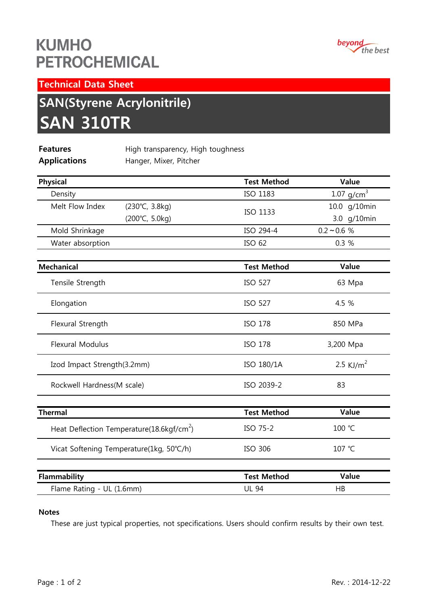## **KUMHO PETROCHEMICAL**



Technical Data Sheet

# SAN(Styrene Acrylonitrile) SAN 310TR

| <b>Features</b>     | High transparency, High toughness |
|---------------------|-----------------------------------|
| <b>Applications</b> | Hanger, Mixer, Pitcher            |

| <b>Physical</b>                                       | <b>Test Method</b> | Value         |
|-------------------------------------------------------|--------------------|---------------|
| Density                                               | <b>ISO 1183</b>    | 1.07 $g/cm^3$ |
| Melt Flow Index<br>$(230^{\circ}C, 3.8kg)$            |                    | 10.0 g/10min  |
| (200°C, 5.0kg)                                        | ISO 1133           | 3.0 g/10min   |
| Mold Shrinkage                                        | ISO 294-4          | $0.2 - 0.6 %$ |
| Water absorption                                      | ISO 62             | 0.3%          |
| <b>Mechanical</b>                                     | <b>Test Method</b> | Value         |
| Tensile Strength                                      | <b>ISO 527</b>     | 63 Mpa        |
| Elongation                                            | <b>ISO 527</b>     | 4.5 %         |
| Flexural Strength                                     | <b>ISO 178</b>     | 850 MPa       |
| <b>Flexural Modulus</b>                               | ISO 178            | 3,200 Mpa     |
| Izod Impact Strength(3.2mm)                           | ISO 180/1A         | 2.5 KJ/ $m^2$ |
| Rockwell Hardness(M scale)                            | ISO 2039-2         | 83            |
| <b>Thermal</b>                                        | <b>Test Method</b> | Value         |
| Heat Deflection Temperature(18.6kgf/cm <sup>2</sup> ) | ISO 75-2           | 100 °C        |
| Vicat Softening Temperature(1kg, 50°C/h)              | <b>ISO 306</b>     | 107 °C        |
| Flammability                                          | <b>Test Method</b> | Value         |
| Flame Rating - UL (1.6mm)                             | <b>UL 94</b>       | HB            |

### Notes

These are just typical properties, not specifications. Users should confirm results by their own test.